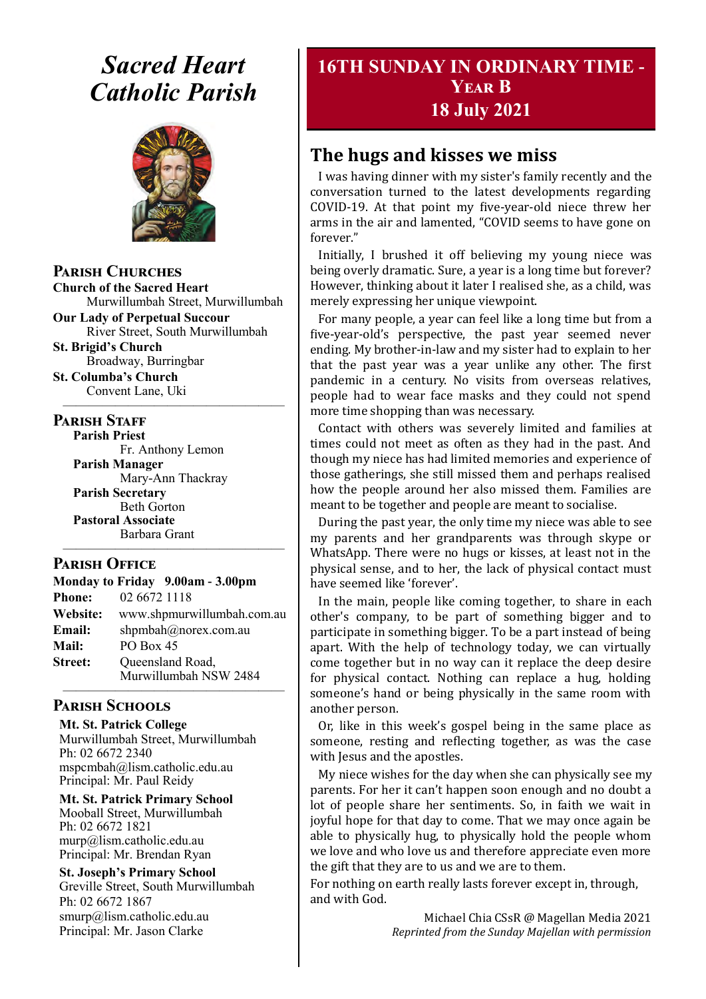# *Sacred Heart Catholic Parish*



**Parish Churches**

**Church of the Sacred Heart** Murwillumbah Street, Murwillumbah

**Our Lady of Perpetual Succour** River Street, South Murwillumbah

**St. Brigid's Church** Broadway, Burringbar

**St. Columba's Church** Convent Lane, Uki —————————————————

#### **PARISH STAFF**

**Parish Priest**

Fr. Anthony Lemon **Parish Manager** Mary-Ann Thackray **Parish Secretary** Beth Gorton **Pastoral Associate** Barbara Grant

#### **Parish Office**

**Monday to Friday 9.00am - 3.00pm Phone:** 02 6672 1118 **Website:** www.shpmurwillumbah.com.au **Email:** shpmbah@norex.com.au **Mail:** PO Box 45 **Street:** Oueensland Road, Murwillumbah NSW 2484 —————————————————

—————————————————

#### **Parish Schools**

**Mt. St. Patrick College** Murwillumbah Street, Murwillumbah Ph: 02 6672 2340 mspcmbah@lism.catholic.edu.au Principal: Mr. Paul Reidy

**Mt. St. Patrick Primary School** Mooball Street, Murwillumbah Ph: 02 6672 1821 murp@lism.catholic.edu.au Principal: Mr. Brendan Ryan

**St. Joseph's Primary School** Greville Street, South Murwillumbah Ph: 02 6672 1867 smurp@lism.catholic.edu.au Principal: Mr. Jason Clarke

# **16TH SUNDAY IN ORDINARY TIME - Year B 18 July 2021**

# **The hugs and kisses we miss**

I was having dinner with my sister's family recently and the conversation turned to the latest developments regarding COVID-19. At that point my five-year-old niece threw her arms in the air and lamented, "COVID seems to have gone on forever."

Initially, I brushed it off believing my young niece was being overly dramatic. Sure, a year is a long time but forever? However, thinking about it later I realised she, as a child, was merely expressing her unique viewpoint.

For many people, a year can feel like a long time but from a five-year-old's perspective, the past year seemed never ending. My brother-in-law and my sister had to explain to her that the past year was a year unlike any other. The first pandemic in a century. No visits from overseas relatives, people had to wear face masks and they could not spend more time shopping than was necessary.

Contact with others was severely limited and families at times could not meet as often as they had in the past. And though my niece has had limited memories and experience of those gatherings, she still missed them and perhaps realised how the people around her also missed them. Families are meant to be together and people are meant to socialise.

During the past year, the only time my niece was able to see my parents and her grandparents was through skype or WhatsApp. There were no hugs or kisses, at least not in the physical sense, and to her, the lack of physical contact must have seemed like 'forever'.

In the main, people like coming together, to share in each other's company, to be part of something bigger and to participate in something bigger. To be a part instead of being apart. With the help of technology today, we can virtually come together but in no way can it replace the deep desire for physical contact. Nothing can replace a hug, holding someone's hand or being physically in the same room with another person.

Or, like in this week's gospel being in the same place as someone, resting and reflecting together, as was the case with Jesus and the apostles.

My niece wishes for the day when she can physically see my parents. For her it can't happen soon enough and no doubt a lot of people share her sentiments. So, in faith we wait in joyful hope for that day to come. That we may once again be able to physically hug, to physically hold the people whom we love and who love us and therefore appreciate even more the gift that they are to us and we are to them.

For nothing on earth really lasts forever except in, through, and with God.

> Michael Chia CSsR @ Magellan Media 2021 *Reprinted from the Sunday Majellan with permission*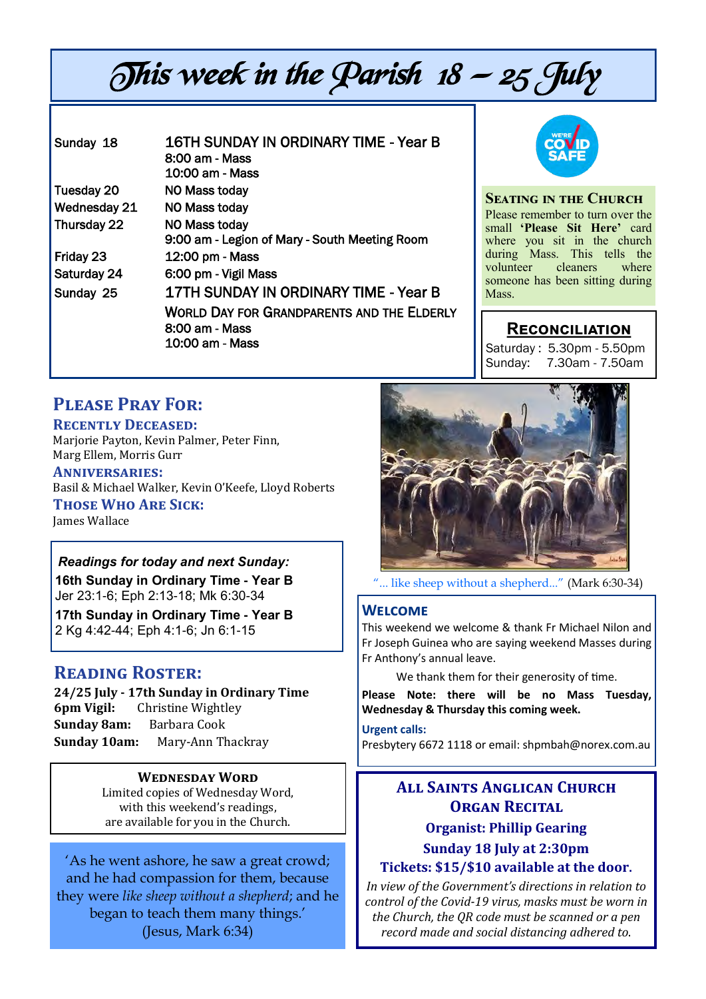# This week in the Parish  $18 - 25$  July

| Sunday 18    | 16TH SUNDAY IN ORDINARY TIME - Year B<br>8:00 am - Mass<br>10:00 am - Mass             |
|--------------|----------------------------------------------------------------------------------------|
| Tuesday 20   | NO Mass today                                                                          |
| Wednesday 21 | NO Mass today                                                                          |
| Thursday 22  | NO Mass today<br>9:00 am - Legion of Mary - South Meeting Room                         |
| Friday 23    | 12:00 pm - Mass                                                                        |
| Saturday 24  | 6:00 pm - Vigil Mass                                                                   |
| Sunday 25    | 17TH SUNDAY IN ORDINARY TIME - Year B                                                  |
|              | <b>WORLD DAY FOR GRANDPARENTS AND THE ELDERLY</b><br>8:00 am - Mass<br>10:00 am - Mass |



**Seating in the Church** Please remember to turn over the small **'Please Sit Here'** card where you sit in the church during Mass. This tells the volunteer cleaners where someone has been sitting during Mass.

#### **Reconciliation**

Saturday : 5.30pm - 5.50pm Sunday: 7.30am - 7.50am

# **Please Pray For:**

#### **Recently Deceased:**

Marjorie Payton, Kevin Palmer, Peter Finn, Marg Ellem, Morris Gurr

**Anniversaries:**  Basil & Michael Walker, Kevin O'Keefe, Lloyd Roberts **Those Who Are Sick:** 

James Wallace

#### *Readings for today and next Sunday:*  **16th Sunday in Ordinary Time - Year B**

Jer 23:1-6; Eph 2:13-18; Mk 6:30-34

**17th Sunday in Ordinary Time - Year B**  2 Kg 4:42-44; Eph 4:1-6; Jn 6:1-15

#### **Reading Roster:**

**24/25 July - 17th Sunday in Ordinary Time 6pm Vigil:** Christine Wightley **Sunday 8am:** Barbara Cook **Sunday 10am:** Mary-Ann Thackray

#### **Wednesday Word**

Limited copies of Wednesday Word, with this weekend's readings, are available for you in the Church.

'As he went ashore, he saw a great crowd; and he had compassion for them, because they were *like sheep without a shepherd*; and he began to teach them many things.' (Jesus, Mark 6:34)



["... like sheep without a shepherd..."](http://restlesspilgrim.net/blog/wp-content/uploads/2012/07/sheep-following-the-shepherd.jpg) (Mark 6:30-34)

#### **Welcome**

This weekend we welcome & thank Fr Michael Nilon and Fr Joseph Guinea who are saying weekend Masses during Fr Anthony's annual leave.

We thank them for their generosity of time.

**Please Note: there will be no Mass Tuesday, Wednesday & Thursday this coming week.** 

**Urgent calls:** 

Presbytery 6672 1118 or email: shpmbah@norex.com.au

# **All Saints Anglican Church ORGAN RECITAL Organist: Phillip Gearing Sunday 18 July at 2:30pm**

#### **Tickets: \$15/\$10 available at the door**.

*In view of the Government's directions in relation to control of the Covid-19 virus, masks must be worn in the Church, the QR code must be scanned or a pen record made and social distancing adhered to*.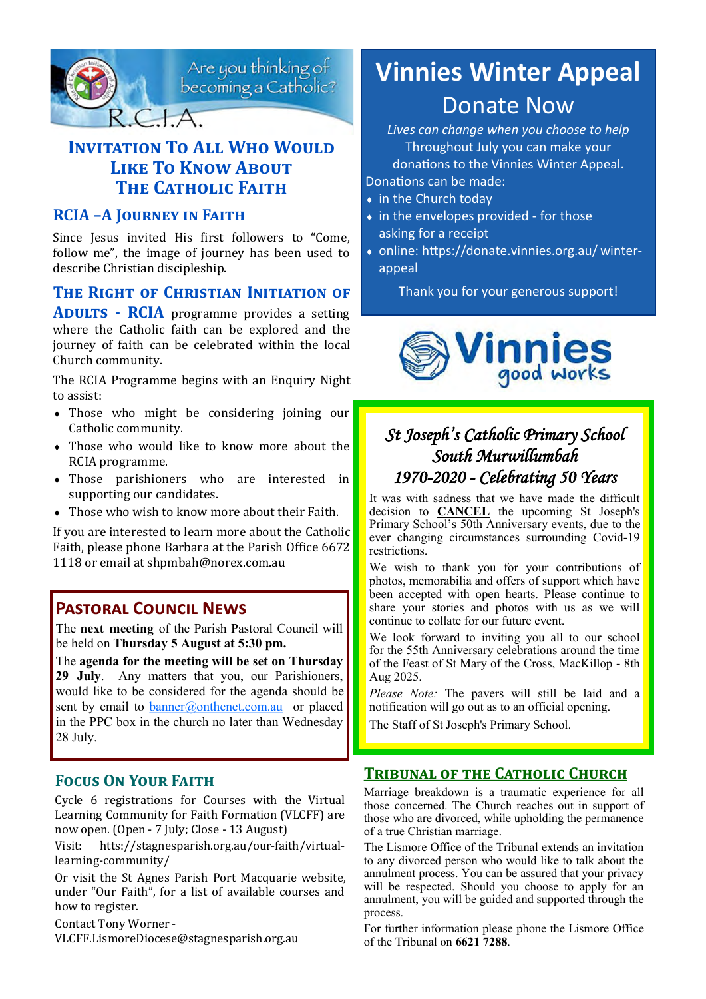

Are you thinking of<br>becoming a Catholic?

# **INVITATION TO ALL WHO WOULD LIKE TO KNOW ABOUT THE CATHOLIC FAITH**

#### **RCIA –A Journey in Faith**

Since Jesus invited His first followers to "Come, follow me", the image of journey has been used to describe Christian discipleship.

#### **THE RIGHT OF CHRISTIAN INITIATION OF**

**ADULTS - RCIA** programme provides a setting where the Catholic faith can be explored and the journey of faith can be celebrated within the local Church community.

The RCIA Programme begins with an Enquiry Night to assist:

- Those who might be considering joining our Catholic community.
- Those who would like to know more about the RCIA programme.
- Those parishioners who are interested in supporting our candidates.
- Those who wish to know more about their Faith.

If you are interested to learn more about the Catholic Faith, please phone Barbara at the Parish Office 6672 1118 or email at shpmbah@norex.com.au

#### **Pastoral Council News**

The **next meeting** of the Parish Pastoral Council will be held on **Thursday 5 August at 5:30 pm.**

The **agenda for the meeting will be set on Thursday 29 July**. Any matters that you, our Parishioners, would like to be considered for the agenda should be sent by email to **[banner@onthenet.com.au](mailto:banner@onthenet.com.au)** or placed in the PPC box in the church no later than Wednesday 28 July.

#### **Focus On Your Faith**

Cycle 6 registrations for Courses with the Virtual Learning Community for Faith Formation (VLCFF) are now open. (Open - 7 July; Close - 13 August)

Visit: htts://stagnesparish.org.au/our-faith/virtuallearning-community/

Or visit the St Agnes Parish Port Macquarie website, under "Our Faith", for a list of available courses and how to register.

Contact Tony Worner - VLCFF.LismoreDiocese@stagnesparish.org.au

# **Vinnies Winter Appeal** Donate Now

*Lives can change when you choose to help* Throughout July you can make your donations to the Vinnies Winter Appeal.

Donations can be made:

- in the Church today
- $\bullet$  in the envelopes provided for those asking for a receipt
- online: https://donate.vinnies.org.au/ winterappeal

Thank you for your generous support!



# *St Joseph's Catholic Primary School South Murwillumbah 1970-2020 - Celebrating 50 Years*

It was with sadness that we have made the difficult decision to **CANCEL** the upcoming St Joseph's Primary School's 50th Anniversary events, due to the ever changing circumstances surrounding Covid-19 restrictions.

We wish to thank you for your contributions of photos, memorabilia and offers of support which have been accepted with open hearts. Please continue to share your stories and photos with us as we will continue to collate for our future event.

We look forward to inviting you all to our school for the 55th Anniversary celebrations around the time of the Feast of St Mary of the Cross, MacKillop - 8th Aug 2025.

*Please Note:* The pavers will still be laid and a notification will go out as to an official opening.

The Staff of St Joseph's Primary School.

#### **Tribunal of the Catholic Church**

Marriage breakdown is a traumatic experience for all those concerned. The Church reaches out in support of those who are divorced, while upholding the permanence of a true Christian marriage.

The Lismore Office of the Tribunal extends an invitation to any divorced person who would like to talk about the annulment process. You can be assured that your privacy will be respected. Should you choose to apply for an annulment, you will be guided and supported through the process.

For further information please phone the Lismore Office of the Tribunal on **6621 7288**.